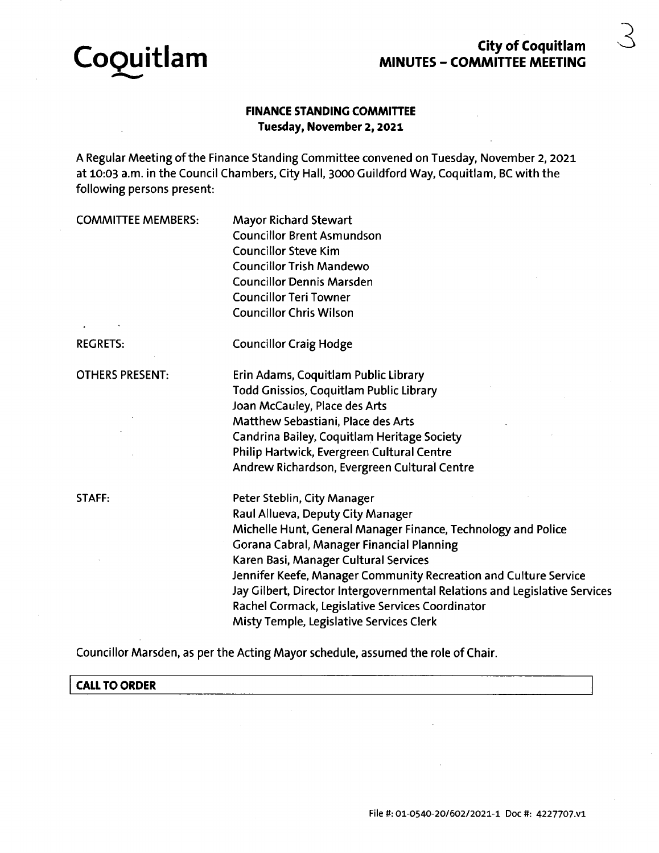

# **City of Coquitlam MINUTES - COMMITTEE MEETING**

## **FINANCE STANDING COMMITTEE Tuesday, November 2,2021**

A Regular Meeting ofthe Finance Standing Committee convened on Tuesday, November 2, 2021 at 10:03 a.m. in the Council Chambers, City Hall, 3000 Guildford Way, Coquitlam, BC with the following persons present:

COMMITTEE MEMBERS: Mayor Richard Stewart Councillor Brent Asmundson Councillor Steve Kim Councillor Trish Mandewo Councillor Dennis Marsden Councillor Teri Towner Councillor Chris Wilson

REGRETS: Councillor Craig Hodge

OTHERS PRESENT:

STAFF:

Erin Adams, Coquitlam Public Library Todd Gnissios, Coquitlam Public Library Joan McCauley, Place des Arts Matthew Sebastiani, Place des Arts Candrina Bailey, Coquitlam Heritage Society Philip Hartwick, Evergreen Cultural Centre Andrew Richardson, Evergreen Cultural Centre

Peter Steblin, City Manager Raul Allueva, Deputy City Manager Michelle Hunt, General Manager Finance, Technology and Police Gorana Cabral, Manager Financial Planning Karen Basi, Manager Cultural Services Jennifer Keefe, Manager Community Recreation and Culture Service Jay Gilbert, Director Intergovernmental Relations and Legislative Services Rachel Cormack, Legislative Services Coordinator Misty Temple, Legislative Services Clerk

Councillor Marsden, as per the Acting Mayor schedule, assumed the role of Chair.

**CALL TO ORDER**

**3**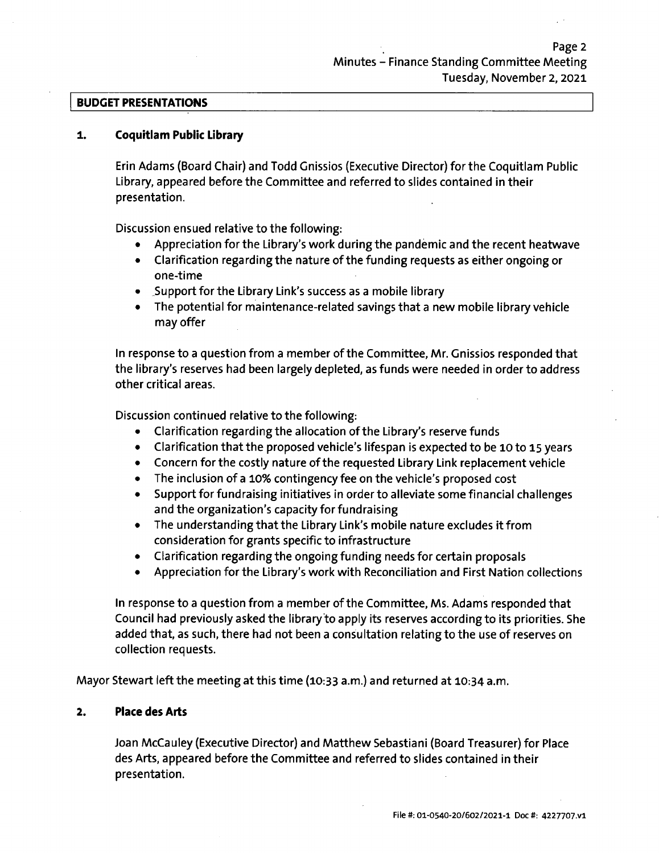#### **BUDGET PRESENTATIONS**

#### **1. Coquitlam Public Library**

Erin Adams (Board Chair) and Todd Gnissios (Executive Director) for the Coquitlam Public Library, appeared before the Committee and referred to slides contained in their presentation.

Discussion ensued relative to the following:

- Appreciation for the Library'<sup>s</sup> work during the pandemic and the recent heatwave
- Clarification regarding the nature of the funding requests as either ongoing or one-time
- Support for the Library Link'<sup>s</sup> success as <sup>a</sup> mobile library
- The potential for maintenance-related savings that <sup>a</sup> new mobile library vehicle may offer

In response to <sup>a</sup> question from a member of the Committee, Mr. Gnissios responded that the library'<sup>s</sup> reserves had been largely depleted, as funds were needed in order to address other critical areas.

Discussion continued relative to the following:

- Clarification regarding the allocation ofthe Library'<sup>s</sup> reserve funds  $\bullet$
- $\bullet$ Clarification that the proposed vehicle'<sup>s</sup> lifespan is expected to be 10 to 15 years
- Concern for the costly nature of the requested Library Link replacement vehicle
- The inclusion of a 10% contingency fee on the vehicle's proposed cost
- Support for fundraising initiatives in order to alleviate some financial challenges and the organization'<sup>s</sup> capacity for fundraising
- The understanding that the Library Link's mobile nature excludes it from consideration for grants specific to infrastructure
- Clarification regarding the ongoing funding needs for certain proposals
- Appreciation for the Library'<sup>s</sup> work with Reconciliation and First Nation collections  $\bullet$

In response to a question from a member of the Committee, Ms. Adams responded that Council had previously asked the library to apply its reserves according to its priorities. She added that, as such, there had not been <sup>a</sup> consultation relating to the use of reserves on collection requests.

Mayor Stewart left the meeting at this time (10:33 a.m.) and returned at 10:34 a.m.

### **2. Place des Arts**

Joan McCauley (Executive Director) and Matthew Sebastiani (Board Treasurer) for Place des Arts, appeared before the Committee and referred to slides contained in their presentation.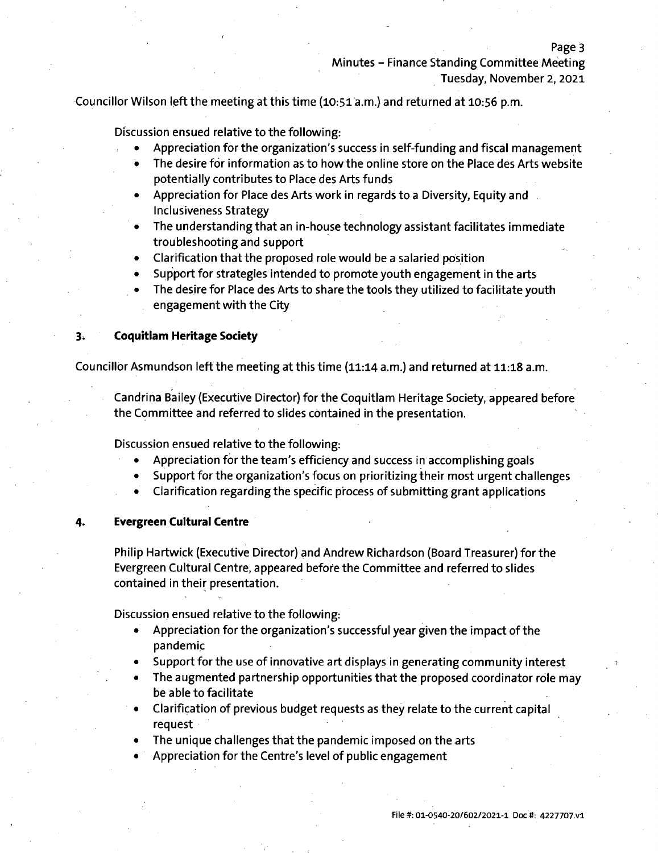Councillor Wilson left the meeting at this time (10:51 a.m.) and returned at 10:56 p.m.

Discussion ensued relative to the following:

**<**

- Appreciation for the organization's success in self-funding and fiscal management
- The desire for information as to how the online store on the Place des Arts website potentially contributes to Place des Arts funds
- Appreciation for Place des Arts work in regards to <sup>a</sup> Diversity, Equity and Inclusiveness Strategy
- The understanding that an in-house technology assistant facilitates immediate troubleshooting and support
- Clarification that the proposed role would be a salaried position
- Support for strategies intended to promote youth engagement in the arts
- The desire for Place des Arts to share the tools they utilized to facilitate youth engagement with the City

#### **3. Coquitlam Heritage Society**

Councillor Asmundson left the meeting at this time (11:14 a.m.) and returned at 11:18 a.m.

Candrina Bailey (Executive Director) for the Coquitlam Heritage Society, appeared before the Committee and referred to slides contained in the presentation.

Discussion ensued relative to the following:

- Appreciation for the team'<sup>s</sup> efficiency and success in accomplishing goals
- Support for the organization'<sup>s</sup> focus on prioritizing their most urgent challenges
- Clarification regarding the specific process of submitting grant applications

#### **4. Evergreen Cultural Centre**

Philip Hartwick (Executive Director) and Andrew Richardson (Board Treasurer) for the Evergreen Cultural Centre, appeared before the Committee and referred to slides contained in their presentation.

Discussion ensued relative to the following:

- Appreciation for the organization's successful year given the impact of the pandemic
- Support for the use of innovative art displays in generating community interest
- The augmented partnership opportunities that the proposed coordinator role may be able to facilitate
- Clarification of previous budget requests as they relate to the current capital request
- The unique challenges that the pandemic imposed on the arts
- Appreciation for the Centre'<sup>s</sup> level of public engagement